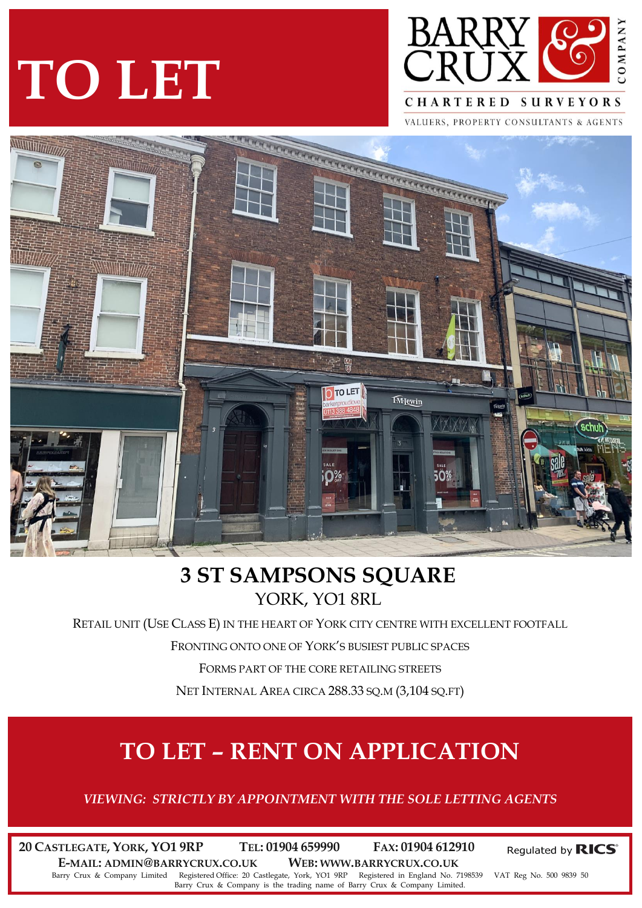# **TO LET**



VALUERS, PROPERTY CONSULTANTS & AGENTS



### **3 ST SAMPSONS SQUARE** YORK, YO1 8RL

RETAIL UNIT (USE CLASS E) IN THE HEART OF YORK CITY CENTRE WITH EXCELLENT FOOTFALL

FRONTING ONTO ONE OF YORK'S BUSIEST PUBLIC SPACES

FORMS PART OF THE CORE RETAILING STREETS

NET INTERNAL AREA CIRCA 288.33 SQ.M (3,104 SQ.FT)

## **TO LET – RENT ON APPLICATION**

*VIEWING: STRICTLY BY APPOINTMENT WITH THE SOLE LETTING AGENTS*

**20 CASTLEGATE, YORK, YO1 9RP TEL: 01904 659990 FAX: 01904 612910 E-MAIL: ADMIN@BARRYCRUX.CO.UK WEB: WWW.BARRYCRUX.CO.UK**

Regulated by RICS®

Barry Crux & Company Limited Registered Office: 20 Castlegate, York, YO1 9RP Registered in England No. 7198539 VAT Reg No. 500 9839 50 Barry Crux & Company is the trading name of Barry Crux & Company Limited.